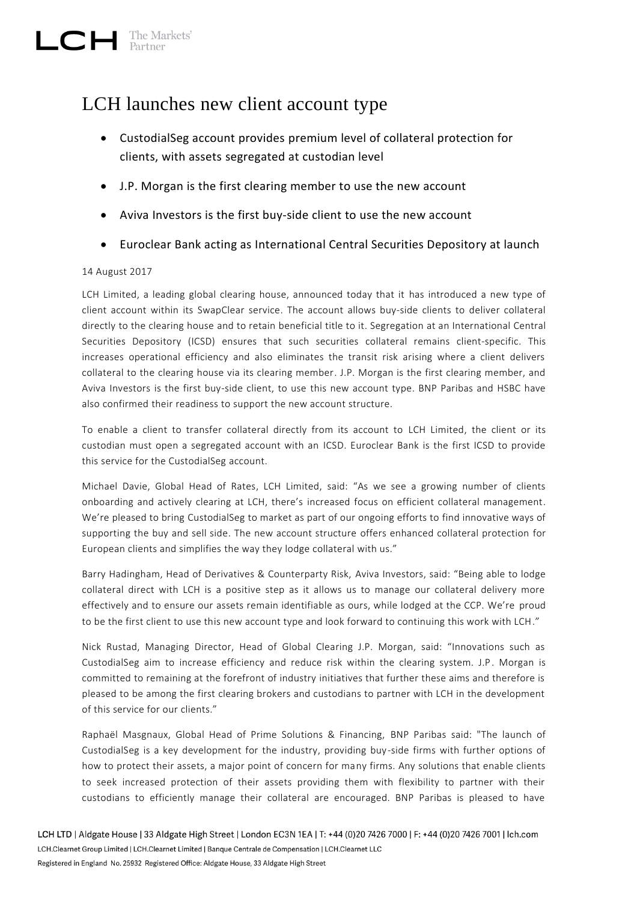## LCH launches new client account type

- CustodialSeg account provides premium level of collateral protection for clients, with assets segregated at custodian level
- J.P. Morgan is the first clearing member to use the new account
- Aviva Investors is the first buy-side client to use the new account
- Euroclear Bank acting as International Central Securities Depository at launch

## 14 August 2017

LCH Limited, a leading global clearing house, announced today that it has introduced a new type of client account within its SwapClear service. The account allows buy-side clients to deliver collateral directly to the clearing house and to retain beneficial title to it. Segregation at an International Central Securities Depository (ICSD) ensures that such securities collateral remains client-specific. This increases operational efficiency and also eliminates the transit risk arising where a client delivers collateral to the clearing house via its clearing member. J.P. Morgan is the first clearing member, and Aviva Investors is the first buy-side client, to use this new account type. BNP Paribas and HSBC have also confirmed their readiness to support the new account structure.

To enable a client to transfer collateral directly from its account to LCH Limited, the client or its custodian must open a segregated account with an ICSD. Euroclear Bank is the first ICSD to provide this service for the CustodialSeg account.

Michael Davie, Global Head of Rates, LCH Limited, said: "As we see a growing number of clients onboarding and actively clearing at LCH, there's increased focus on efficient collateral management. We're pleased to bring CustodialSeg to market as part of our ongoing efforts to find innovative ways of supporting the buy and sell side. The new account structure offers enhanced collateral protection for European clients and simplifies the way they lodge collateral with us."

Barry Hadingham, Head of Derivatives & Counterparty Risk, Aviva Investors, said: "Being able to lodge collateral direct with LCH is a positive step as it allows us to manage our collateral delivery more effectively and to ensure our assets remain identifiable as ours, while lodged at the CCP. We're proud to be the first client to use this new account type and look forward to continuing this work with LCH."

Nick Rustad, Managing Director, Head of Global Clearing J.P. Morgan, said: "Innovations such as CustodialSeg aim to increase efficiency and reduce risk within the clearing system. J.P. Morgan is committed to remaining at the forefront of industry initiatives that further these aims and therefore is pleased to be among the first clearing brokers and custodians to partner with LCH in the development of this service for our clients."

Raphaël Masgnaux, Global Head of Prime Solutions & Financing, BNP Paribas said: "The launch of CustodialSeg is a key development for the industry, providing buy-side firms with further options of how to protect their assets, a major point of concern for many firms. Any solutions that enable clients to seek increased protection of their assets providing them with flexibility to partner with their custodians to efficiently manage their collateral are encouraged. BNP Paribas is pleased to have